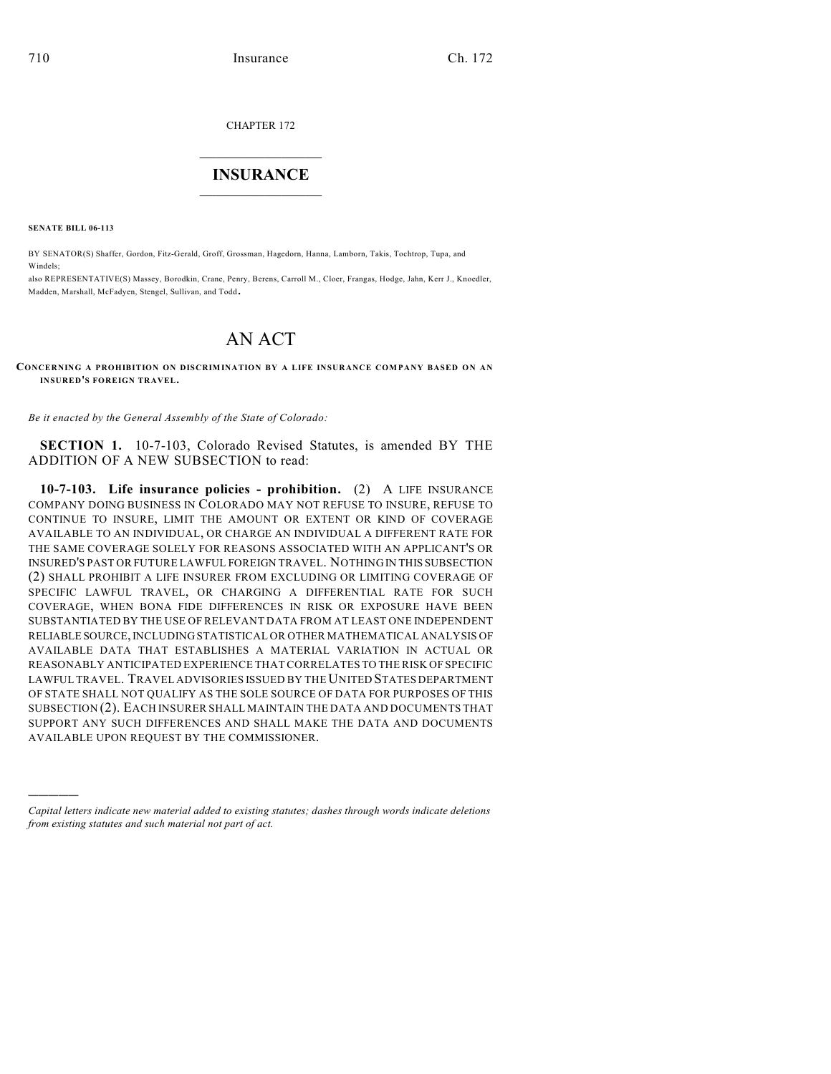CHAPTER 172

## $\overline{\phantom{a}}$  . The set of the set of the set of the set of the set of the set of the set of the set of the set of the set of the set of the set of the set of the set of the set of the set of the set of the set of the set o **INSURANCE**  $\frac{1}{2}$  ,  $\frac{1}{2}$  ,  $\frac{1}{2}$  ,  $\frac{1}{2}$  ,  $\frac{1}{2}$  ,  $\frac{1}{2}$  ,  $\frac{1}{2}$

**SENATE BILL 06-113**

)))))

BY SENATOR(S) Shaffer, Gordon, Fitz-Gerald, Groff, Grossman, Hagedorn, Hanna, Lamborn, Takis, Tochtrop, Tupa, and Windels;

also REPRESENTATIVE(S) Massey, Borodkin, Crane, Penry, Berens, Carroll M., Cloer, Frangas, Hodge, Jahn, Kerr J., Knoedler, Madden, Marshall, McFadyen, Stengel, Sullivan, and Todd.

## AN ACT

## **CONCERNING A PROHIBITION ON DISCRIMINATION BY A LIFE INSURANCE COMPANY BASED ON AN INSURED'S FOREIGN TRAVEL.**

*Be it enacted by the General Assembly of the State of Colorado:*

**SECTION 1.** 10-7-103, Colorado Revised Statutes, is amended BY THE ADDITION OF A NEW SUBSECTION to read:

**10-7-103. Life insurance policies - prohibition.** (2) A LIFE INSURANCE COMPANY DOING BUSINESS IN COLORADO MAY NOT REFUSE TO INSURE, REFUSE TO CONTINUE TO INSURE, LIMIT THE AMOUNT OR EXTENT OR KIND OF COVERAGE AVAILABLE TO AN INDIVIDUAL, OR CHARGE AN INDIVIDUAL A DIFFERENT RATE FOR THE SAME COVERAGE SOLELY FOR REASONS ASSOCIATED WITH AN APPLICANT'S OR INSURED'S PAST OR FUTURE LAWFUL FOREIGN TRAVEL. NOTHING IN THIS SUBSECTION (2) SHALL PROHIBIT A LIFE INSURER FROM EXCLUDING OR LIMITING COVERAGE OF SPECIFIC LAWFUL TRAVEL, OR CHARGING A DIFFERENTIAL RATE FOR SUCH COVERAGE, WHEN BONA FIDE DIFFERENCES IN RISK OR EXPOSURE HAVE BEEN SUBSTANTIATED BY THE USE OF RELEVANT DATA FROM AT LEAST ONE INDEPENDENT RELIABLE SOURCE, INCLUDING STATISTICAL OR OTHER MATHEMATICAL ANALYSIS OF AVAILABLE DATA THAT ESTABLISHES A MATERIAL VARIATION IN ACTUAL OR REASONABLY ANTICIPATED EXPERIENCE THAT CORRELATES TO THE RISK OF SPECIFIC LAWFUL TRAVEL. TRAVEL ADVISORIES ISSUED BY THE UNITED STATES DEPARTMENT OF STATE SHALL NOT QUALIFY AS THE SOLE SOURCE OF DATA FOR PURPOSES OF THIS SUBSECTION (2). EACH INSURER SHALL MAINTAIN THE DATA AND DOCUMENTS THAT SUPPORT ANY SUCH DIFFERENCES AND SHALL MAKE THE DATA AND DOCUMENTS AVAILABLE UPON REQUEST BY THE COMMISSIONER.

*Capital letters indicate new material added to existing statutes; dashes through words indicate deletions from existing statutes and such material not part of act.*